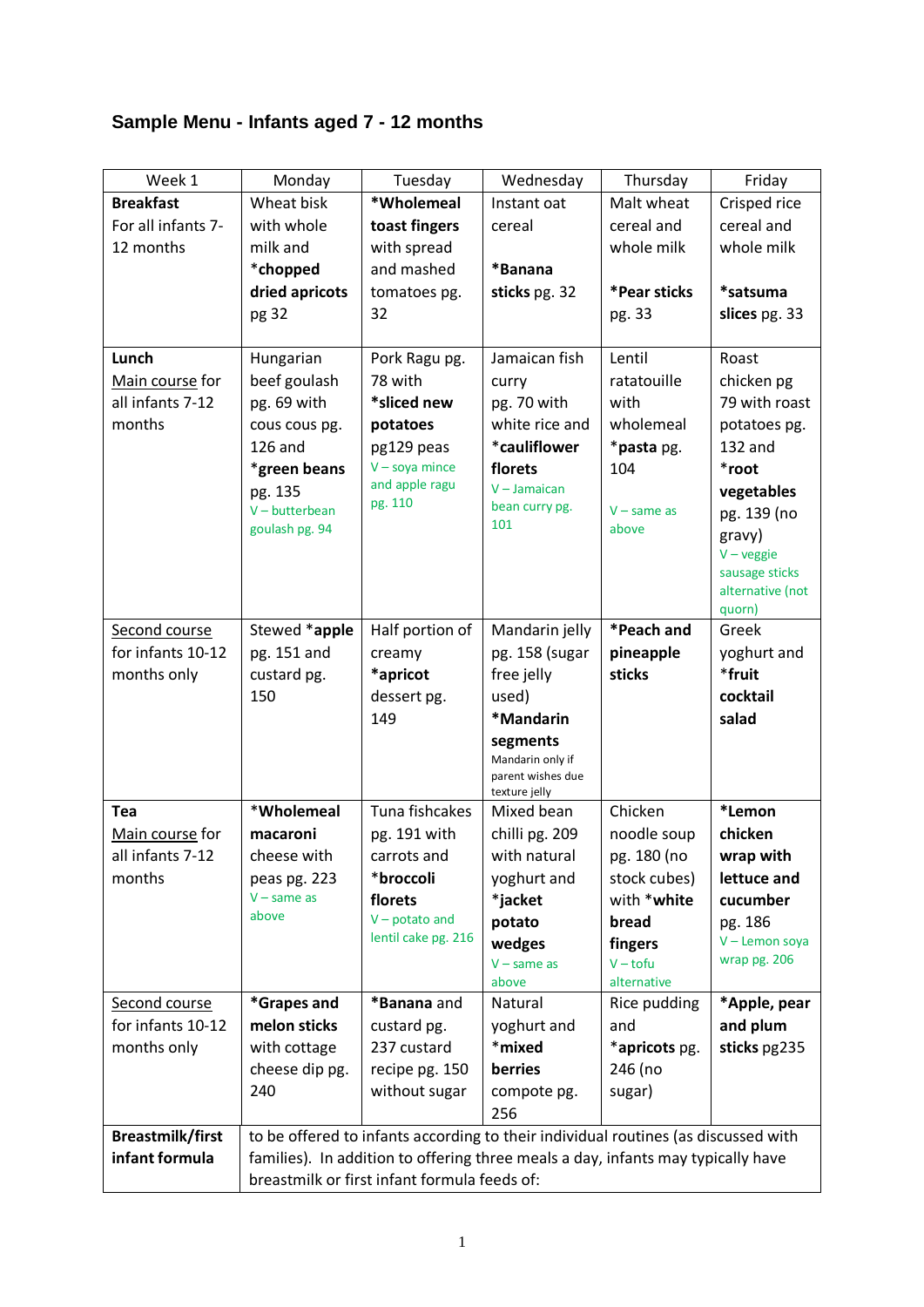## **Sample Menu - Infants aged 7 - 12 months**

| Week 1                  | Monday                                                                             | Tuesday             | Wednesday                   | Thursday      | Friday                     |
|-------------------------|------------------------------------------------------------------------------------|---------------------|-----------------------------|---------------|----------------------------|
| <b>Breakfast</b>        | Wheat bisk                                                                         | *Wholemeal          | Instant oat                 | Malt wheat    | Crisped rice               |
| For all infants 7-      | with whole                                                                         | toast fingers       | cereal                      | cereal and    | cereal and                 |
| 12 months               | milk and                                                                           | with spread         |                             | whole milk    | whole milk                 |
|                         | *chopped                                                                           | and mashed          | *Banana                     |               |                            |
|                         | dried apricots                                                                     | tomatoes pg.        | sticks pg. 32               | *Pear sticks  | *satsuma                   |
|                         | pg 32                                                                              | 32                  |                             | pg. 33        | slices pg. 33              |
|                         |                                                                                    |                     |                             |               |                            |
| Lunch                   | Hungarian                                                                          | Pork Ragu pg.       | Jamaican fish               | Lentil        | Roast                      |
| Main course for         | beef goulash                                                                       | 78 with             | curry                       | ratatouille   | chicken pg                 |
| all infants 7-12        | pg. 69 with                                                                        | *sliced new         | pg. 70 with                 | with          | 79 with roast              |
| months                  | cous cous pg.                                                                      | potatoes            | white rice and              | wholemeal     | potatoes pg.               |
|                         | <b>126 and</b>                                                                     | pg129 peas          | *cauliflower                | *pasta pg.    | 132 and                    |
|                         | *green beans                                                                       | $V - soya$ mince    | florets                     | 104           | *root                      |
|                         | pg. 135                                                                            | and apple ragu      | $V -$ Jamaican              |               | vegetables                 |
|                         | $V$ – butterbean                                                                   | pg. 110             | bean curry pg.              | $V - same as$ | pg. 139 (no                |
|                         | goulash pg. 94                                                                     |                     | 101                         | above         | gravy)                     |
|                         |                                                                                    |                     |                             |               | $V - \text{veggie}$        |
|                         |                                                                                    |                     |                             |               | sausage sticks             |
|                         |                                                                                    |                     |                             |               | alternative (not<br>quorn) |
| Second course           | Stewed *apple                                                                      | Half portion of     | Mandarin jelly              | *Peach and    | Greek                      |
| for infants 10-12       | pg. 151 and                                                                        | creamy              | pg. 158 (sugar              | pineapple     | yoghurt and                |
| months only             | custard pg.                                                                        | *apricot            | free jelly                  | sticks        | *fruit                     |
|                         | 150                                                                                | dessert pg.         | used)                       |               | cocktail                   |
|                         |                                                                                    | 149                 | *Mandarin                   |               | salad                      |
|                         |                                                                                    |                     | segments                    |               |                            |
|                         |                                                                                    |                     | Mandarin only if            |               |                            |
|                         |                                                                                    |                     | parent wishes due           |               |                            |
| <b>Tea</b>              | *Wholemeal                                                                         | Tuna fishcakes      | texture jelly<br>Mixed bean | Chicken       | *Lemon                     |
| Main course for         | macaroni                                                                           | pg. 191 with        | chilli pg. 209              | noodle soup   | chicken                    |
| all infants 7-12        | cheese with                                                                        | carrots and         | with natural                | pg. 180 (no   | wrap with                  |
| months                  | peas pg. 223                                                                       | *broccoli           | yoghurt and                 | stock cubes)  | lettuce and                |
|                         | $V$ – same as                                                                      | florets             | *jacket                     | with *white   | cucumber                   |
|                         | above                                                                              | $V -$ potato and    | potato                      | bread         | pg. 186                    |
|                         |                                                                                    | lentil cake pg. 216 | wedges                      | fingers       | V - Lemon soya             |
|                         |                                                                                    |                     | $V - same as$               | $V - tofu$    | wrap pg. 206               |
|                         |                                                                                    |                     | above                       | alternative   |                            |
| Second course           | *Grapes and                                                                        | *Banana and         | Natural                     | Rice pudding  | *Apple, pear               |
| for infants 10-12       | melon sticks                                                                       | custard pg.         | yoghurt and                 | and           | and plum                   |
| months only             | with cottage                                                                       | 237 custard         | *mixed                      | *apricots pg. | sticks pg235               |
|                         | cheese dip pg.                                                                     | recipe pg. 150      | berries                     | 246 (no       |                            |
|                         | 240                                                                                | without sugar       | compote pg.                 | sugar)        |                            |
|                         |                                                                                    |                     | 256                         |               |                            |
| <b>Breastmilk/first</b> | to be offered to infants according to their individual routines (as discussed with |                     |                             |               |                            |
| infant formula          | families). In addition to offering three meals a day, infants may typically have   |                     |                             |               |                            |
|                         | breastmilk or first infant formula feeds of:                                       |                     |                             |               |                            |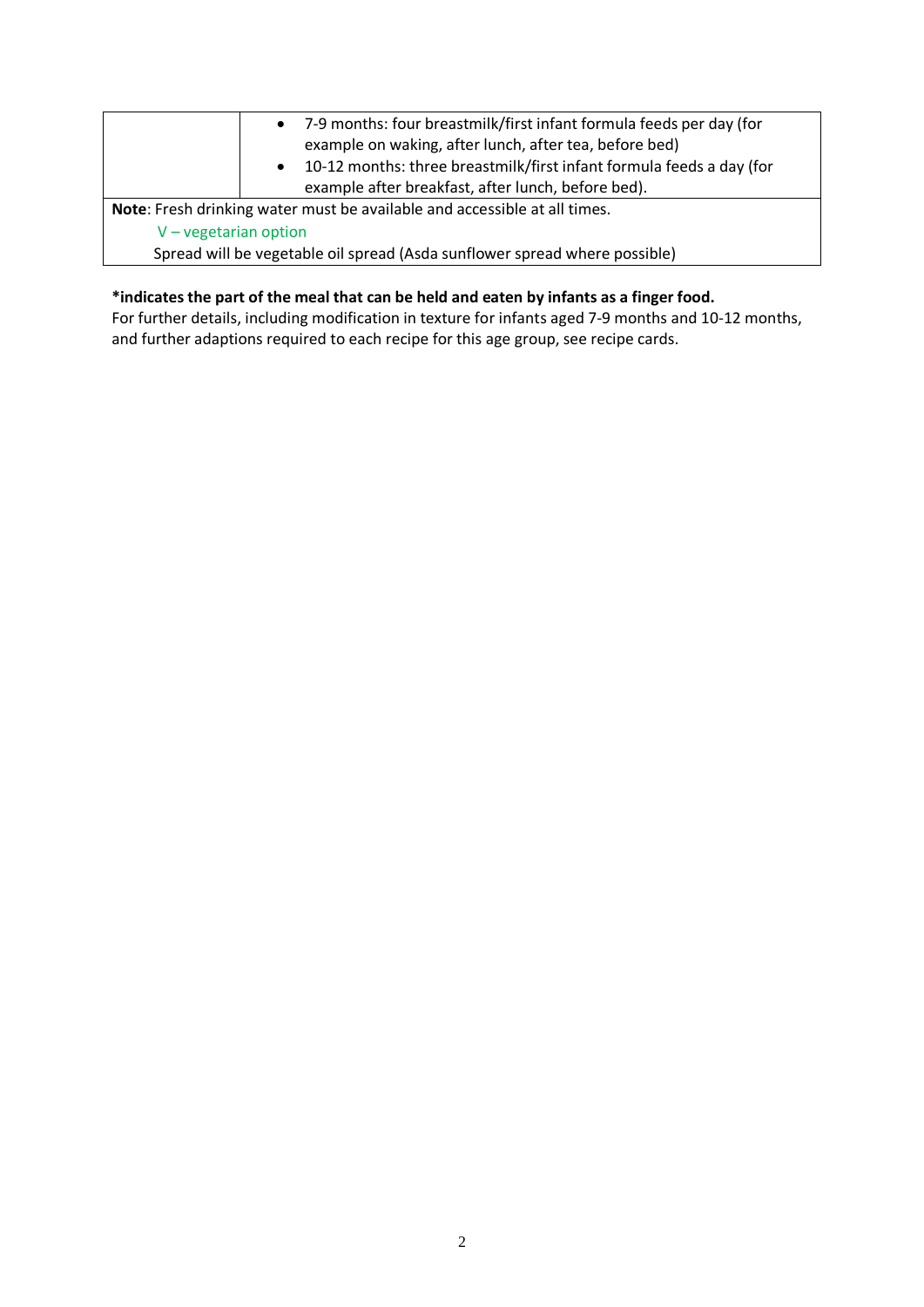|                          | • 7-9 months: four breastmilk/first infant formula feeds per day (for<br>example on waking, after lunch, after tea, before bed)<br>10-12 months: three breastmilk/first infant formula feeds a day (for<br>$\bullet$<br>example after breakfast, after lunch, before bed). |
|--------------------------|----------------------------------------------------------------------------------------------------------------------------------------------------------------------------------------------------------------------------------------------------------------------------|
|                          | Note: Fresh drinking water must be available and accessible at all times.                                                                                                                                                                                                  |
| $V - v$ egetarian option |                                                                                                                                                                                                                                                                            |
|                          | Spread will be vegetable oil spread (Asda sunflower spread where possible)                                                                                                                                                                                                 |

## **\*indicates the part of the meal that can be held and eaten by infants as a finger food.**

For further details, including modification in texture for infants aged 7-9 months and 10-12 months, and further adaptions required to each recipe for this age group, see recipe cards.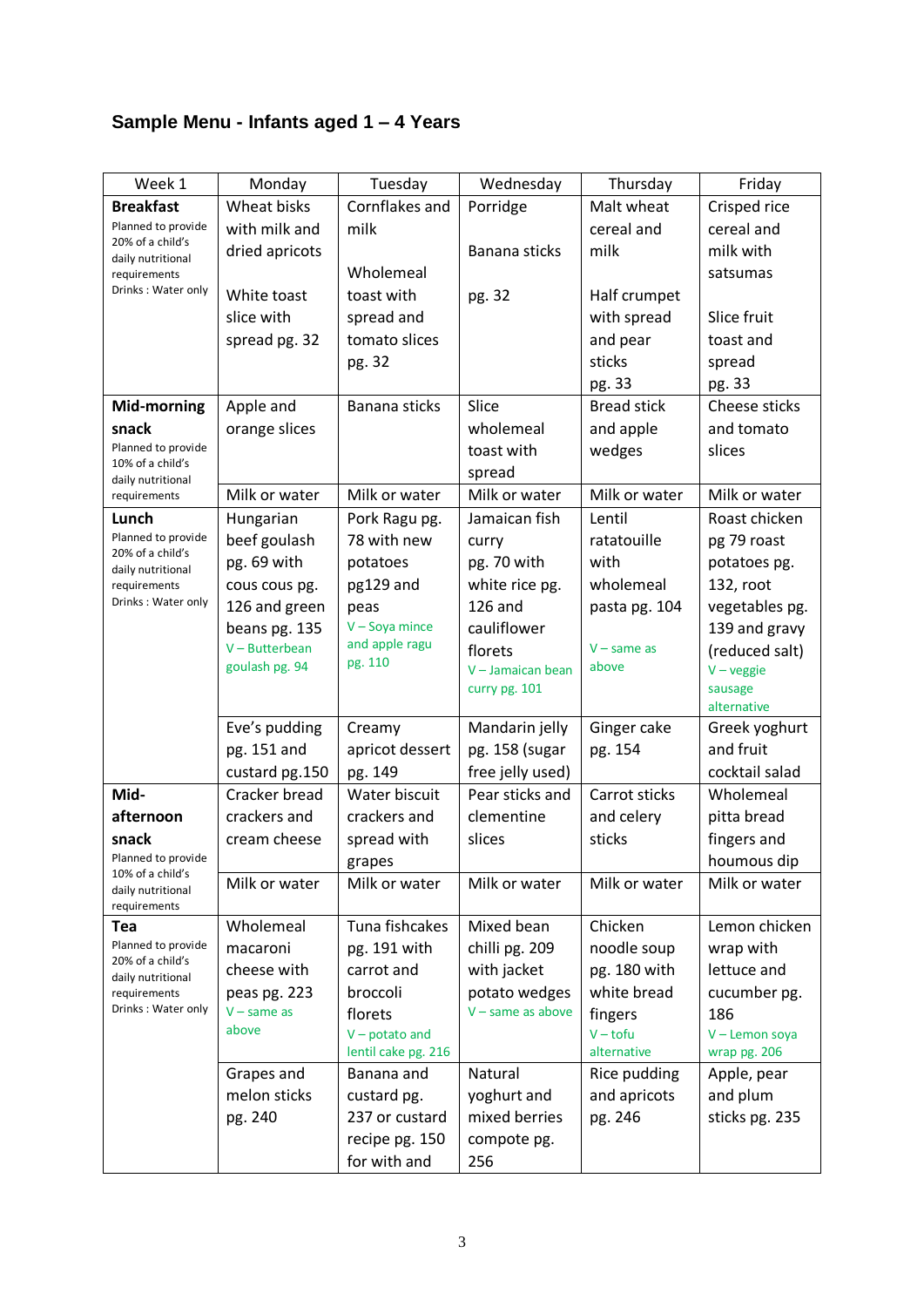## **Sample Menu - Infants aged 1 – 4 Years**

| Week 1                                                      | Monday                          | Tuesday             | Wednesday                     | Thursday           | Friday              |
|-------------------------------------------------------------|---------------------------------|---------------------|-------------------------------|--------------------|---------------------|
| <b>Breakfast</b>                                            | Wheat bisks                     | Cornflakes and      | Porridge                      | Malt wheat         | Crisped rice        |
| Planned to provide<br>20% of a child's<br>daily nutritional | with milk and                   | milk                |                               | cereal and         | cereal and          |
|                                                             | dried apricots                  |                     | Banana sticks                 | milk               | milk with           |
| requirements                                                |                                 | Wholemeal           |                               |                    | satsumas            |
| Drinks: Water only                                          | White toast                     | toast with          | pg. 32                        | Half crumpet       |                     |
|                                                             | slice with                      | spread and          |                               | with spread        | Slice fruit         |
|                                                             | spread pg. 32                   | tomato slices       |                               | and pear           | toast and           |
|                                                             |                                 | pg. 32              |                               | sticks             | spread              |
|                                                             |                                 |                     |                               | pg. 33             | pg. 33              |
| Mid-morning                                                 | Apple and                       | Banana sticks       | Slice                         | <b>Bread stick</b> | Cheese sticks       |
| snack                                                       | orange slices                   |                     | wholemeal                     | and apple          | and tomato          |
| Planned to provide                                          |                                 |                     | toast with                    | wedges             | slices              |
| 10% of a child's<br>daily nutritional                       |                                 |                     | spread                        |                    |                     |
| requirements                                                | Milk or water                   | Milk or water       | Milk or water                 | Milk or water      | Milk or water       |
| Lunch                                                       | Hungarian                       | Pork Ragu pg.       | Jamaican fish                 | Lentil             | Roast chicken       |
| Planned to provide                                          | beef goulash                    | 78 with new         | curry                         | ratatouille        | pg 79 roast         |
| 20% of a child's<br>daily nutritional                       | pg. 69 with                     | potatoes            | pg. 70 with                   | with               | potatoes pg.        |
| requirements                                                | cous cous pg.                   | pg129 and           | white rice pg.                | wholemeal          | 132, root           |
| Drinks: Water only                                          | 126 and green                   | peas                | <b>126 and</b>                | pasta pg. 104      | vegetables pg.      |
|                                                             | beans pg. 135                   | $V -$ Soya mince    | cauliflower                   |                    | 139 and gravy       |
|                                                             | $V - Butterbean$                | and apple ragu      | florets                       | $V - same as$      | (reduced salt)      |
|                                                             | goulash pg. 94                  | pg. 110             | $V -$ Jamaican bean           | above              | $V - \text{veggie}$ |
|                                                             |                                 |                     | curry pg. 101                 |                    | sausage             |
|                                                             |                                 |                     |                               |                    | alternative         |
|                                                             | Eve's pudding                   | Creamy              | Mandarin jelly                | Ginger cake        | Greek yoghurt       |
|                                                             | pg. 151 and                     | apricot dessert     | pg. 158 (sugar                | pg. 154            | and fruit           |
|                                                             | custard pg.150<br>Cracker bread | pg. 149             | free jelly used)              |                    | cocktail salad      |
| Mid-<br>afternoon                                           |                                 | Water biscuit       | Pear sticks and<br>clementine | Carrot sticks      | Wholemeal           |
|                                                             | crackers and                    | crackers and        |                               | and celery         | pitta bread         |
| snack<br>Planned to provide                                 | cream cheese                    | spread with         | slices                        | sticks             | fingers and         |
| 10% of a child's                                            |                                 | grapes              |                               |                    | houmous dip         |
| daily nutritional                                           | Milk or water                   | Milk or water       | Milk or water                 | Milk or water      | Milk or water       |
| requirements<br>Tea                                         | Wholemeal                       | Tuna fishcakes      | Mixed bean                    | Chicken            | Lemon chicken       |
| Planned to provide                                          | macaroni                        | pg. 191 with        | chilli pg. 209                | noodle soup        | wrap with           |
| 20% of a child's                                            | cheese with                     | carrot and          | with jacket                   | pg. 180 with       | lettuce and         |
| daily nutritional                                           | peas pg. 223                    | broccoli            | potato wedges                 | white bread        | cucumber pg.        |
| requirements<br>Drinks: Water only                          | $V - same as$                   | florets             | $V$ – same as above           | fingers            | 186                 |
|                                                             | above                           | $V -$ potato and    |                               | $V - tofu$         | V - Lemon soya      |
|                                                             |                                 | lentil cake pg. 216 |                               | alternative        | wrap pg. 206        |
|                                                             | Grapes and                      | Banana and          | Natural                       | Rice pudding       | Apple, pear         |
|                                                             | melon sticks                    | custard pg.         | yoghurt and                   | and apricots       | and plum            |
|                                                             | pg. 240                         | 237 or custard      | mixed berries                 | pg. 246            | sticks pg. 235      |
|                                                             |                                 | recipe pg. 150      | compote pg.                   |                    |                     |
|                                                             |                                 | for with and        | 256                           |                    |                     |